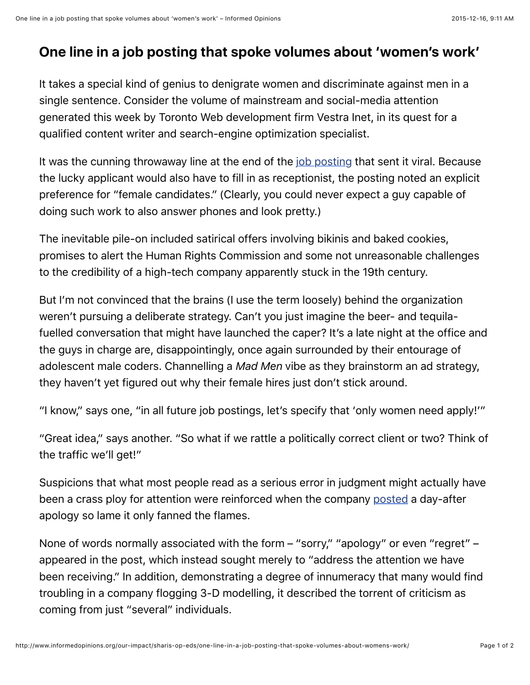## **One line in a job posting that spoke volumes about 'women's work'**

It takes a special kind of genius to denigrate women and discriminate against men in a single sentence. Consider the volume of mainstream and social-media attention generated this week by Toronto Web development firm Vestra Inet, in its quest for a qualified content writer and search-engine optimization specialist.

It was the cunning throwaway line at the end of the *job posting* that sent it viral. Because the lucky applicant would also have to fill in as receptionist, the posting noted an explicit preference for "female candidates." (Clearly, you could never expect a guy capable of doing such work to also answer phones and look pretty.)

The inevitable pile-on included satirical offers involving bikinis and baked cookies, promises to alert the Human Rights Commission and some not unreasonable challenges to the credibility of a high-tech company apparently stuck in the 19th century.

But I'm not convinced that the brains (I use the term loosely) behind the organization weren't pursuing a deliberate strategy. Can't you just imagine the beer- and tequilafuelled conversation that might have launched the caper? It's a late night at the office and the guys in charge are, disappointingly, once again surrounded by their entourage of adolescent male coders. Channelling a *Mad Men* vibe as they brainstorm an ad strategy, they haven't yet figured out why their female hires just don't stick around.

"I know," says one, "in all future job postings, let's specify that 'only women need apply!'"

"Great idea," says another. "So what if we rattle a politically correct client or two? Think of the traffic we'll get!"

Suspicions that what most people read as a serious error in judgment might actually have been a crass ploy for attention were reinforced when the company [posted](https://www.linkedin.com/company/vestra-inet) a day-after apology so lame it only fanned the flames.

None of words normally associated with the form – "sorry," "apology" or even "regret" – appeared in the post, which instead sought merely to "address the attention we have been receiving." In addition, demonstrating a degree of innumeracy that many would find troubling in a company flogging 3-D modelling, it described the torrent of criticism as coming from just "several" individuals.